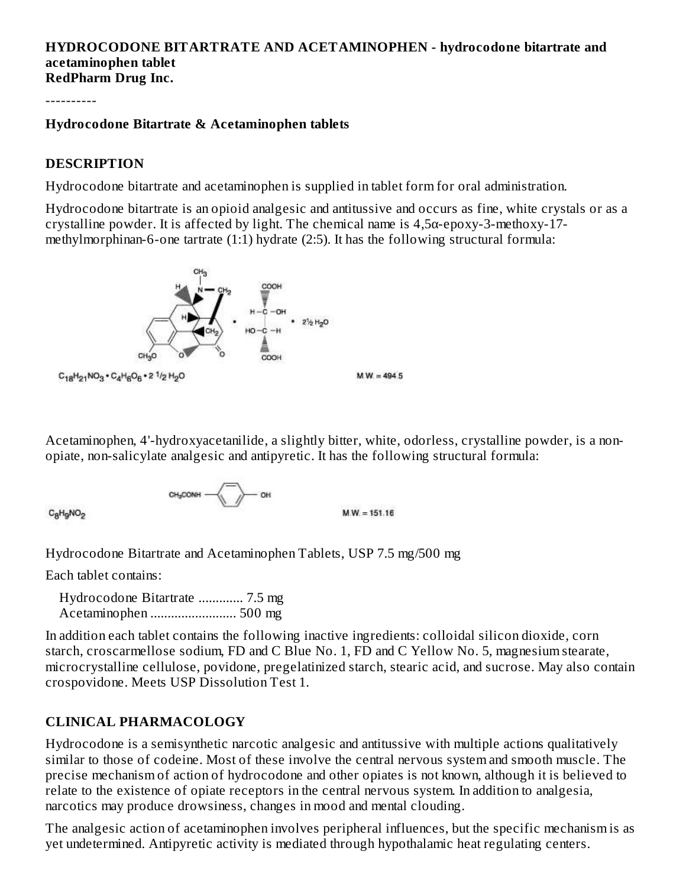#### **HYDROCODONE BITARTRATE AND ACETAMINOPHEN - hydrocodone bitartrate and acetaminophen tablet RedPharm Drug Inc.**

----------

#### **Hydrocodone Bitartrate & Acetaminophen tablets**

#### **DESCRIPTION**

Hydrocodone bitartrate and acetaminophen is supplied in tablet form for oral administration.

Hydrocodone bitartrate is an opioid analgesic and antitussive and occurs as fine, white crystals or as a crystalline powder. It is affected by light. The chemical name is 4,5α-epoxy-3-methoxy-17 methylmorphinan-6-one tartrate (1:1) hydrate (2:5). It has the following structural formula:



Acetaminophen, 4'-hydroxyacetanilide, a slightly bitter, white, odorless, crystalline powder, is a nonopiate, non-salicylate analgesic and antipyretic. It has the following structural formula:

$$
\text{CH}_{3}CONH \longrightarrow \text{OH}
$$
  

$$
M.W. = 151.16
$$

 $C_8H_9NO_2$ 

Hydrocodone Bitartrate and Acetaminophen Tablets, USP 7.5 mg/500 mg

Each tablet contains:

Hydrocodone Bitartrate ............. 7.5 mg Acetaminophen ......................... 500 mg

In addition each tablet contains the following inactive ingredients: colloidal silicon dioxide, corn starch, croscarmellose sodium, FD and C Blue No. 1, FD and C Yellow No. 5, magnesium stearate, microcrystalline cellulose, povidone, pregelatinized starch, stearic acid, and sucrose. May also contain crospovidone. Meets USP Dissolution Test 1.

### **CLINICAL PHARMACOLOGY**

Hydrocodone is a semisynthetic narcotic analgesic and antitussive with multiple actions qualitatively similar to those of codeine. Most of these involve the central nervous system and smooth muscle. The precise mechanism of action of hydrocodone and other opiates is not known, although it is believed to relate to the existence of opiate receptors in the central nervous system. In addition to analgesia, narcotics may produce drowsiness, changes in mood and mental clouding.

The analgesic action of acetaminophen involves peripheral influences, but the specific mechanism is as yet undetermined. Antipyretic activity is mediated through hypothalamic heat regulating centers.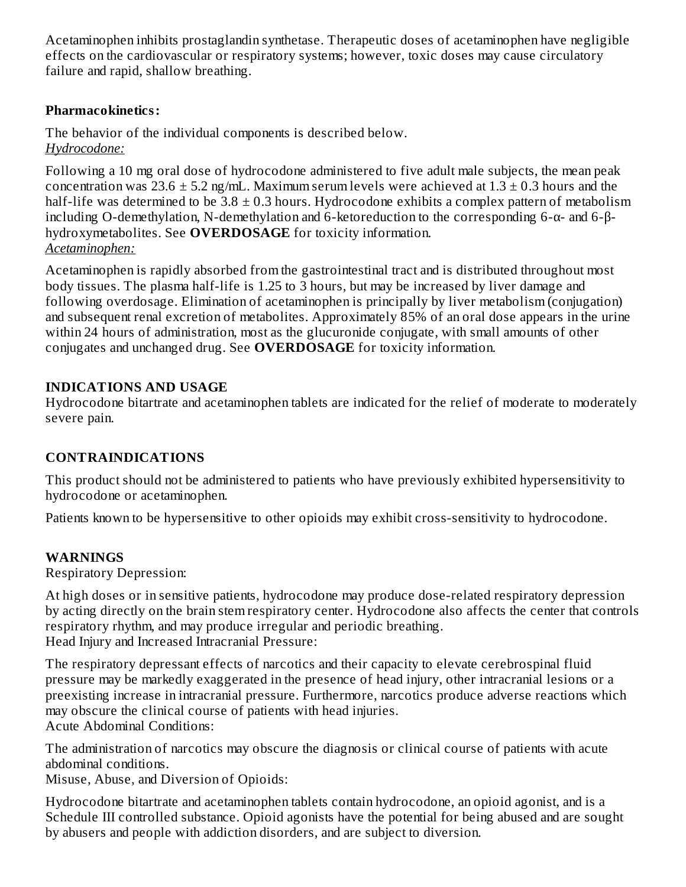Acetaminophen inhibits prostaglandin synthetase. Therapeutic doses of acetaminophen have negligible effects on the cardiovascular or respiratory systems; however, toxic doses may cause circulatory failure and rapid, shallow breathing.

# **Pharmacokinetics:**

The behavior of the individual components is described below. *Hydrocodone:*

Following a 10 mg oral dose of hydrocodone administered to five adult male subjects, the mean peak concentration was  $23.6 \pm 5.2$  ng/mL. Maximum serum levels were achieved at  $1.3 \pm 0.3$  hours and the half-life was determined to be  $3.8 \pm 0.3$  hours. Hydrocodone exhibits a complex pattern of metabolism including O-demethylation, N-demethylation and 6-ketoreduction to the corresponding 6-α- and 6-βhydroxymetabolites. See **OVERDOSAGE** for toxicity information. *Acetaminophen:*

Acetaminophen is rapidly absorbed from the gastrointestinal tract and is distributed throughout most body tissues. The plasma half-life is 1.25 to 3 hours, but may be increased by liver damage and following overdosage. Elimination of acetaminophen is principally by liver metabolism (conjugation) and subsequent renal excretion of metabolites. Approximately 85% of an oral dose appears in the urine within 24 hours of administration, most as the glucuronide conjugate, with small amounts of other conjugates and unchanged drug. See **OVERDOSAGE** for toxicity information.

## **INDICATIONS AND USAGE**

Hydrocodone bitartrate and acetaminophen tablets are indicated for the relief of moderate to moderately severe pain.

### **CONTRAINDICATIONS**

This product should not be administered to patients who have previously exhibited hypersensitivity to hydrocodone or acetaminophen.

Patients known to be hypersensitive to other opioids may exhibit cross-sensitivity to hydrocodone.

# **WARNINGS**

Respiratory Depression:

At high doses or in sensitive patients, hydrocodone may produce dose-related respiratory depression by acting directly on the brain stem respiratory center. Hydrocodone also affects the center that controls respiratory rhythm, and may produce irregular and periodic breathing. Head Injury and Increased Intracranial Pressure:

The respiratory depressant effects of narcotics and their capacity to elevate cerebrospinal fluid pressure may be markedly exaggerated in the presence of head injury, other intracranial lesions or a preexisting increase in intracranial pressure. Furthermore, narcotics produce adverse reactions which may obscure the clinical course of patients with head injuries. Acute Abdominal Conditions:

The administration of narcotics may obscure the diagnosis or clinical course of patients with acute abdominal conditions.

Misuse, Abuse, and Diversion of Opioids:

Hydrocodone bitartrate and acetaminophen tablets contain hydrocodone, an opioid agonist, and is a Schedule III controlled substance. Opioid agonists have the potential for being abused and are sought by abusers and people with addiction disorders, and are subject to diversion.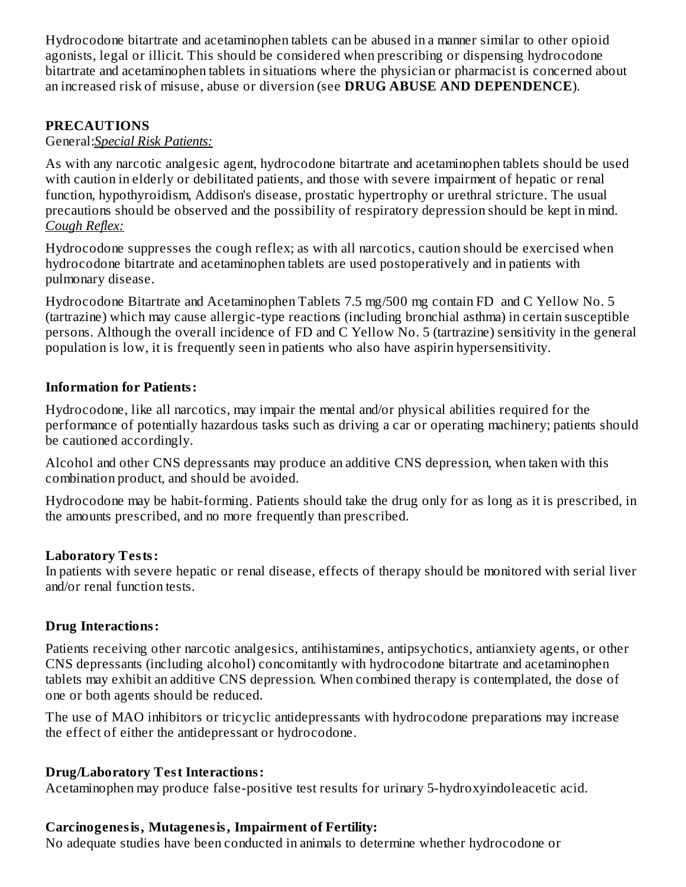Hydrocodone bitartrate and acetaminophen tablets can be abused in a manner similar to other opioid agonists, legal or illicit. This should be considered when prescribing or dispensing hydrocodone bitartrate and acetaminophen tablets in situations where the physician or pharmacist is concerned about an increased risk of misuse, abuse or diversion (see **DRUG ABUSE AND DEPENDENCE**).

### **PRECAUTIONS**

### General:*Special Risk Patients:*

As with any narcotic analgesic agent, hydrocodone bitartrate and acetaminophen tablets should be used with caution in elderly or debilitated patients, and those with severe impairment of hepatic or renal function, hypothyroidism, Addison's disease, prostatic hypertrophy or urethral stricture. The usual precautions should be observed and the possibility of respiratory depression should be kept in mind. *Cough Reflex:*

Hydrocodone suppresses the cough reflex; as with all narcotics, caution should be exercised when hydrocodone bitartrate and acetaminophen tablets are used postoperatively and in patients with pulmonary disease.

Hydrocodone Bitartrate and Acetaminophen Tablets 7.5 mg/500 mg contain FD and C Yellow No. 5 (tartrazine) which may cause allergic-type reactions (including bronchial asthma) in certain susceptible persons. Although the overall incidence of FD and C Yellow No. 5 (tartrazine) sensitivity in the general population is low, it is frequently seen in patients who also have aspirin hypersensitivity.

### **Information for Patients:**

Hydrocodone, like all narcotics, may impair the mental and/or physical abilities required for the performance of potentially hazardous tasks such as driving a car or operating machinery; patients should be cautioned accordingly.

Alcohol and other CNS depressants may produce an additive CNS depression, when taken with this combination product, and should be avoided.

Hydrocodone may be habit-forming. Patients should take the drug only for as long as it is prescribed, in the amounts prescribed, and no more frequently than prescribed.

### **Laboratory Tests:**

In patients with severe hepatic or renal disease, effects of therapy should be monitored with serial liver and/or renal function tests.

### **Drug Interactions:**

Patients receiving other narcotic analgesics, antihistamines, antipsychotics, antianxiety agents, or other CNS depressants (including alcohol) concomitantly with hydrocodone bitartrate and acetaminophen tablets may exhibit an additive CNS depression. When combined therapy is contemplated, the dose of one or both agents should be reduced.

The use of MAO inhibitors or tricyclic antidepressants with hydrocodone preparations may increase the effect of either the antidepressant or hydrocodone.

### **Drug/Laboratory Test Interactions:**

Acetaminophen may produce false-positive test results for urinary 5-hydroxyindoleacetic acid.

### **Carcinogenesis, Mutagenesis, Impairment of Fertility:**

No adequate studies have been conducted in animals to determine whether hydrocodone or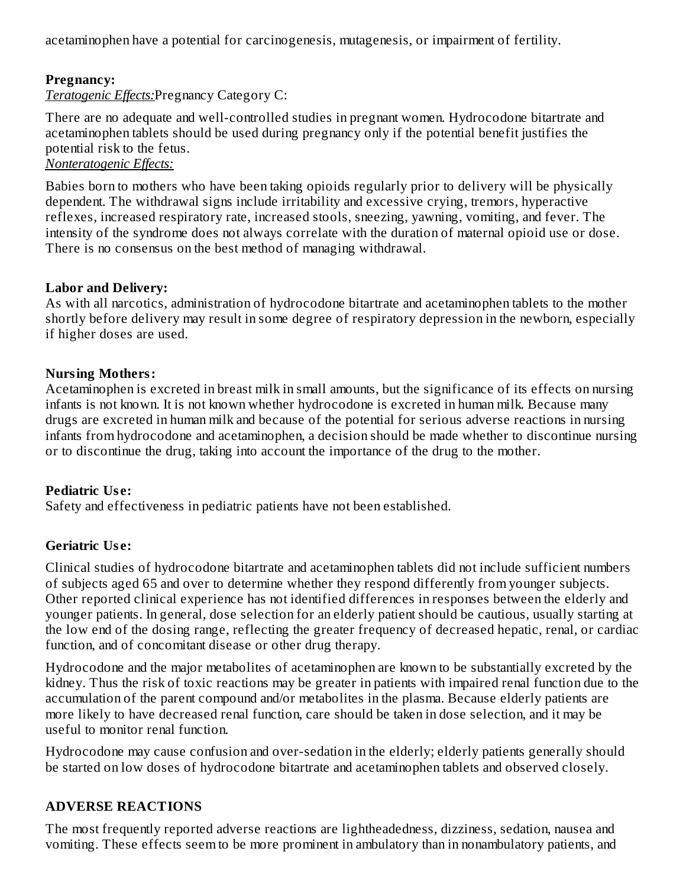acetaminophen have a potential for carcinogenesis, mutagenesis, or impairment of fertility.

#### **Pregnancy:**

*Teratogenic Effects:*Pregnancy Category C:

There are no adequate and well-controlled studies in pregnant women. Hydrocodone bitartrate and acetaminophen tablets should be used during pregnancy only if the potential benefit justifies the potential risk to the fetus.

*Nonteratogenic Effects:*

Babies born to mothers who have been taking opioids regularly prior to delivery will be physically dependent. The withdrawal signs include irritability and excessive crying, tremors, hyperactive reflexes, increased respiratory rate, increased stools, sneezing, yawning, vomiting, and fever. The intensity of the syndrome does not always correlate with the duration of maternal opioid use or dose. There is no consensus on the best method of managing withdrawal.

#### **Labor and Delivery:**

As with all narcotics, administration of hydrocodone bitartrate and acetaminophen tablets to the mother shortly before delivery may result in some degree of respiratory depression in the newborn, especially if higher doses are used.

#### **Nursing Mothers:**

Acetaminophen is excreted in breast milk in small amounts, but the significance of its effects on nursing infants is not known. It is not known whether hydrocodone is excreted in human milk. Because many drugs are excreted in human milk and because of the potential for serious adverse reactions in nursing infants from hydrocodone and acetaminophen, a decision should be made whether to discontinue nursing or to discontinue the drug, taking into account the importance of the drug to the mother.

#### **Pediatric Us e:**

Safety and effectiveness in pediatric patients have not been established.

#### **Geriatric Us e:**

Clinical studies of hydrocodone bitartrate and acetaminophen tablets did not include sufficient numbers of subjects aged 65 and over to determine whether they respond differently from younger subjects. Other reported clinical experience has not identified differences in responses between the elderly and younger patients. In general, dose selection for an elderly patient should be cautious, usually starting at the low end of the dosing range, reflecting the greater frequency of decreased hepatic, renal, or cardiac function, and of concomitant disease or other drug therapy.

Hydrocodone and the major metabolites of acetaminophen are known to be substantially excreted by the kidney. Thus the risk of toxic reactions may be greater in patients with impaired renal function due to the accumulation of the parent compound and/or metabolites in the plasma. Because elderly patients are more likely to have decreased renal function, care should be taken in dose selection, and it may be useful to monitor renal function.

Hydrocodone may cause confusion and over-sedation in the elderly; elderly patients generally should be started on low doses of hydrocodone bitartrate and acetaminophen tablets and observed closely.

### **ADVERSE REACTIONS**

The most frequently reported adverse reactions are lightheadedness, dizziness, sedation, nausea and vomiting. These effects seem to be more prominent in ambulatory than in nonambulatory patients, and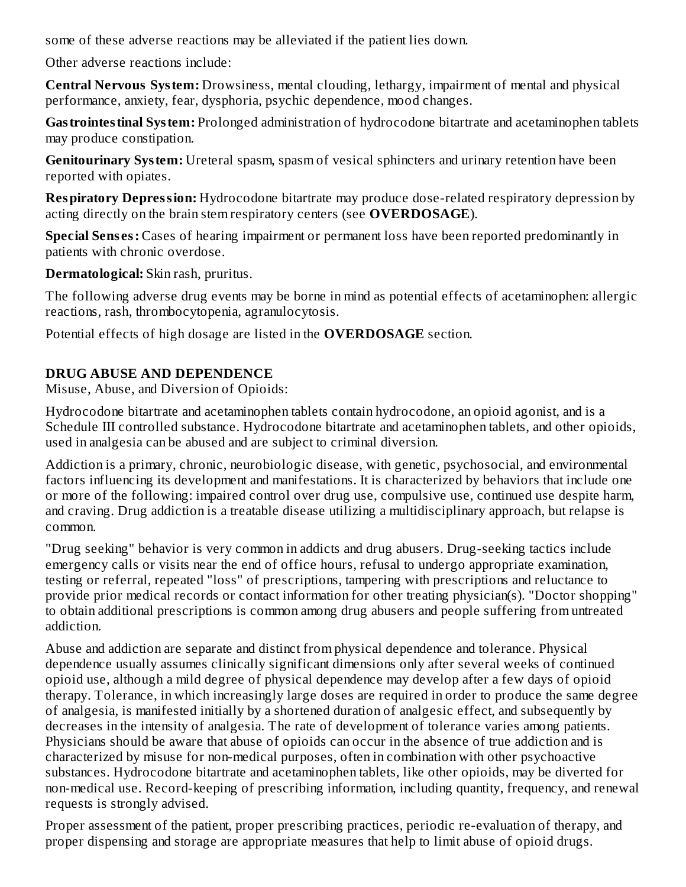some of these adverse reactions may be alleviated if the patient lies down.

Other adverse reactions include:

**Central Nervous System:** Drowsiness, mental clouding, lethargy, impairment of mental and physical performance, anxiety, fear, dysphoria, psychic dependence, mood changes.

**Gastrointestinal System:** Prolonged administration of hydrocodone bitartrate and acetaminophen tablets may produce constipation.

**Genitourinary System:** Ureteral spasm, spasm of vesical sphincters and urinary retention have been reported with opiates.

**Respiratory Depression:** Hydrocodone bitartrate may produce dose-related respiratory depression by acting directly on the brain stem respiratory centers (see **OVERDOSAGE**).

**Special Senses:** Cases of hearing impairment or permanent loss have been reported predominantly in patients with chronic overdose.

**Dermatological:** Skin rash, pruritus.

The following adverse drug events may be borne in mind as potential effects of acetaminophen: allergic reactions, rash, thrombocytopenia, agranulocytosis.

Potential effects of high dosage are listed in the **OVERDOSAGE** section.

# **DRUG ABUSE AND DEPENDENCE**

Misuse, Abuse, and Diversion of Opioids:

Hydrocodone bitartrate and acetaminophen tablets contain hydrocodone, an opioid agonist, and is a Schedule III controlled substance. Hydrocodone bitartrate and acetaminophen tablets, and other opioids, used in analgesia can be abused and are subject to criminal diversion.

Addiction is a primary, chronic, neurobiologic disease, with genetic, psychosocial, and environmental factors influencing its development and manifestations. It is characterized by behaviors that include one or more of the following: impaired control over drug use, compulsive use, continued use despite harm, and craving. Drug addiction is a treatable disease utilizing a multidisciplinary approach, but relapse is common.

"Drug seeking" behavior is very common in addicts and drug abusers. Drug-seeking tactics include emergency calls or visits near the end of office hours, refusal to undergo appropriate examination, testing or referral, repeated "loss" of prescriptions, tampering with prescriptions and reluctance to provide prior medical records or contact information for other treating physician(s). "Doctor shopping" to obtain additional prescriptions is common among drug abusers and people suffering from untreated addiction.

Abuse and addiction are separate and distinct from physical dependence and tolerance. Physical dependence usually assumes clinically significant dimensions only after several weeks of continued opioid use, although a mild degree of physical dependence may develop after a few days of opioid therapy. Tolerance, in which increasingly large doses are required in order to produce the same degree of analgesia, is manifested initially by a shortened duration of analgesic effect, and subsequently by decreases in the intensity of analgesia. The rate of development of tolerance varies among patients. Physicians should be aware that abuse of opioids can occur in the absence of true addiction and is characterized by misuse for non-medical purposes, often in combination with other psychoactive substances. Hydrocodone bitartrate and acetaminophen tablets, like other opioids, may be diverted for non-medical use. Record-keeping of prescribing information, including quantity, frequency, and renewal requests is strongly advised.

Proper assessment of the patient, proper prescribing practices, periodic re-evaluation of therapy, and proper dispensing and storage are appropriate measures that help to limit abuse of opioid drugs.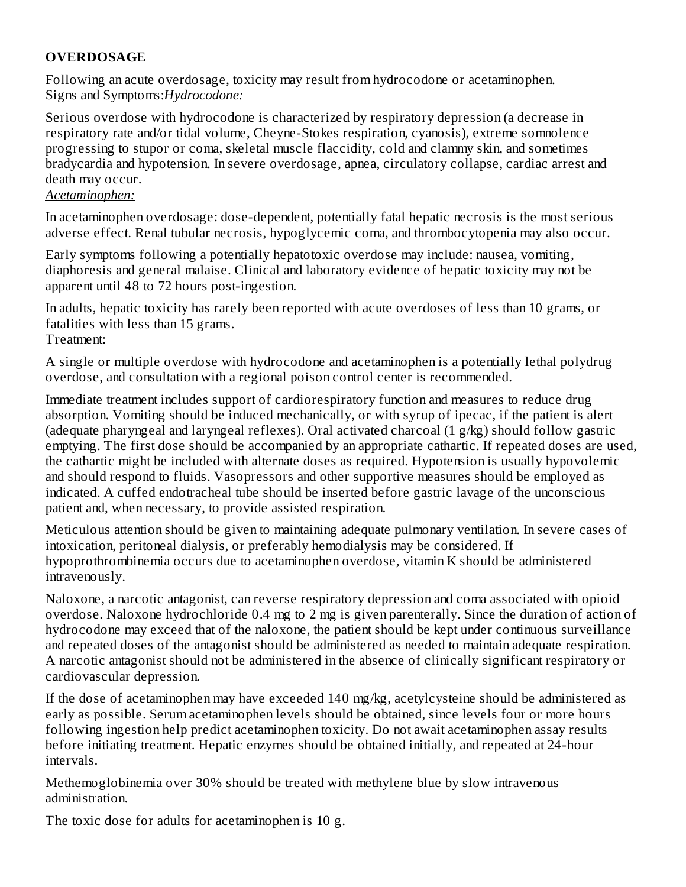### **OVERDOSAGE**

Following an acute overdosage, toxicity may result from hydrocodone or acetaminophen. Signs and Symptoms:*Hydrocodone:*

Serious overdose with hydrocodone is characterized by respiratory depression (a decrease in respiratory rate and/or tidal volume, Cheyne-Stokes respiration, cyanosis), extreme somnolence progressing to stupor or coma, skeletal muscle flaccidity, cold and clammy skin, and sometimes bradycardia and hypotension. In severe overdosage, apnea, circulatory collapse, cardiac arrest and death may occur.

#### *Acetaminophen:*

In acetaminophen overdosage: dose-dependent, potentially fatal hepatic necrosis is the most serious adverse effect. Renal tubular necrosis, hypoglycemic coma, and thrombocytopenia may also occur.

Early symptoms following a potentially hepatotoxic overdose may include: nausea, vomiting, diaphoresis and general malaise. Clinical and laboratory evidence of hepatic toxicity may not be apparent until 48 to 72 hours post-ingestion.

In adults, hepatic toxicity has rarely been reported with acute overdoses of less than 10 grams, or fatalities with less than 15 grams. Treatment:

A single or multiple overdose with hydrocodone and acetaminophen is a potentially lethal polydrug overdose, and consultation with a regional poison control center is recommended.

Immediate treatment includes support of cardiorespiratory function and measures to reduce drug absorption. Vomiting should be induced mechanically, or with syrup of ipecac, if the patient is alert (adequate pharyngeal and laryngeal reflexes). Oral activated charcoal (1 g/kg) should follow gastric emptying. The first dose should be accompanied by an appropriate cathartic. If repeated doses are used, the cathartic might be included with alternate doses as required. Hypotension is usually hypovolemic and should respond to fluids. Vasopressors and other supportive measures should be employed as indicated. A cuffed endotracheal tube should be inserted before gastric lavage of the unconscious patient and, when necessary, to provide assisted respiration.

Meticulous attention should be given to maintaining adequate pulmonary ventilation. In severe cases of intoxication, peritoneal dialysis, or preferably hemodialysis may be considered. If hypoprothrombinemia occurs due to acetaminophen overdose, vitamin K should be administered intravenously.

Naloxone, a narcotic antagonist, can reverse respiratory depression and coma associated with opioid overdose. Naloxone hydrochloride 0.4 mg to 2 mg is given parenterally. Since the duration of action of hydrocodone may exceed that of the naloxone, the patient should be kept under continuous surveillance and repeated doses of the antagonist should be administered as needed to maintain adequate respiration. A narcotic antagonist should not be administered in the absence of clinically significant respiratory or cardiovascular depression.

If the dose of acetaminophen may have exceeded 140 mg/kg, acetylcysteine should be administered as early as possible. Serum acetaminophen levels should be obtained, since levels four or more hours following ingestion help predict acetaminophen toxicity. Do not await acetaminophen assay results before initiating treatment. Hepatic enzymes should be obtained initially, and repeated at 24-hour intervals.

Methemoglobinemia over 30% should be treated with methylene blue by slow intravenous administration.

The toxic dose for adults for acetaminophen is 10 g.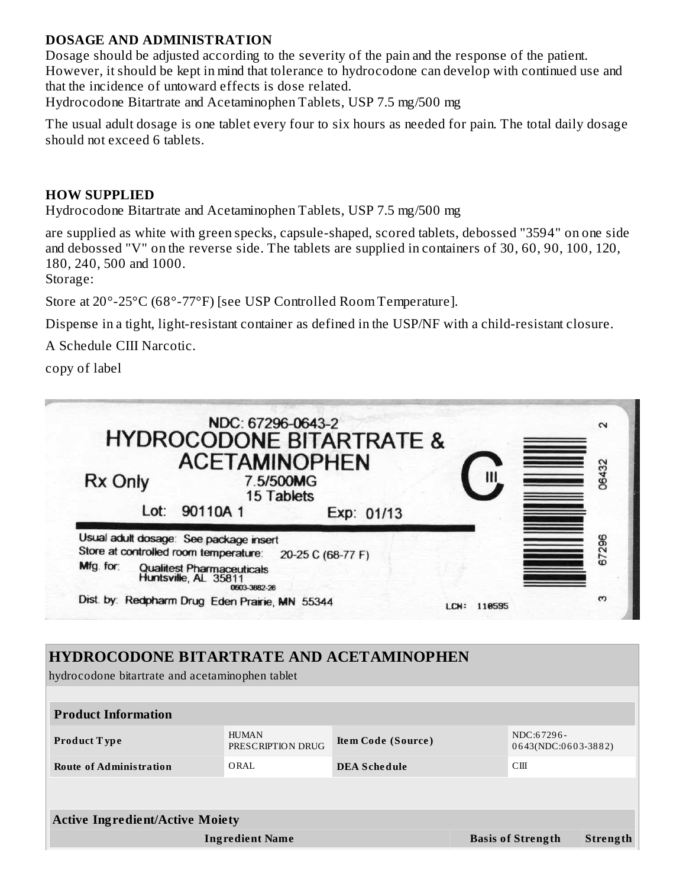### **DOSAGE AND ADMINISTRATION**

Dosage should be adjusted according to the severity of the pain and the response of the patient. However, it should be kept in mind that tolerance to hydrocodone can develop with continued use and that the incidence of untoward effects is dose related.

Hydrocodone Bitartrate and Acetaminophen Tablets, USP 7.5 mg/500 mg

The usual adult dosage is one tablet every four to six hours as needed for pain. The total daily dosage should not exceed 6 tablets.

# **HOW SUPPLIED**

Hydrocodone Bitartrate and Acetaminophen Tablets, USP 7.5 mg/500 mg

are supplied as white with green specks, capsule-shaped, scored tablets, debossed "3594" on one side and debossed "V" on the reverse side. The tablets are supplied in containers of 30, 60, 90, 100, 120, 180, 240, 500 and 1000.

Storage:

Store at 20°-25°C (68°-77°F) [see USP Controlled Room Temperature].

Dispense in a tight, light-resistant container as defined in the USP/NF with a child-resistant closure.

A Schedule CIII Narcotic.

copy of label

| NDC: 67296-0643-2<br><b>HYDROCODONE BITARTRATE &amp;</b>                                                                                            |                | $\sim$   |
|-----------------------------------------------------------------------------------------------------------------------------------------------------|----------------|----------|
| <b>ACETAMINOPHEN</b><br><b>Rx Only</b><br>7.5/500MG<br>15 Tablets                                                                                   |                |          |
| 90110A 1<br>Lot:<br>Exp: 01/13<br>Usual adult dosage: See package insert                                                                            |                |          |
| Store at controlled room temperature:<br>20-25 C (68-77 F)<br>Mfg. for:<br><b>Qualitest Pharmaceuticals</b><br>Huntsville, AL 35811<br>0603-3882-26 |                | 67296    |
| Dist. by: Redpharm Drug Eden Prairie, MN 55344                                                                                                      | 110595<br>LCN: | $\infty$ |

# **HYDROCODONE BITARTRATE AND ACETAMINOPHEN**

hydrocodone bitartrate and acetaminophen tablet

| <b>Product Information</b>             |                                   |                     |  |                                   |          |
|----------------------------------------|-----------------------------------|---------------------|--|-----------------------------------|----------|
| Product Type                           | <b>HUMAN</b><br>PRESCRIPTION DRUG | Item Code (Source)  |  | NDC:67296-<br>0643(NDC:0603-3882) |          |
| <b>Route of Administration</b>         | ORAL                              | <b>DEA Schedule</b> |  | CIII                              |          |
|                                        |                                   |                     |  |                                   |          |
| <b>Active Ingredient/Active Moiety</b> |                                   |                     |  |                                   |          |
| <b>Ingredient Name</b>                 |                                   |                     |  | <b>Basis of Strength</b>          | Strength |